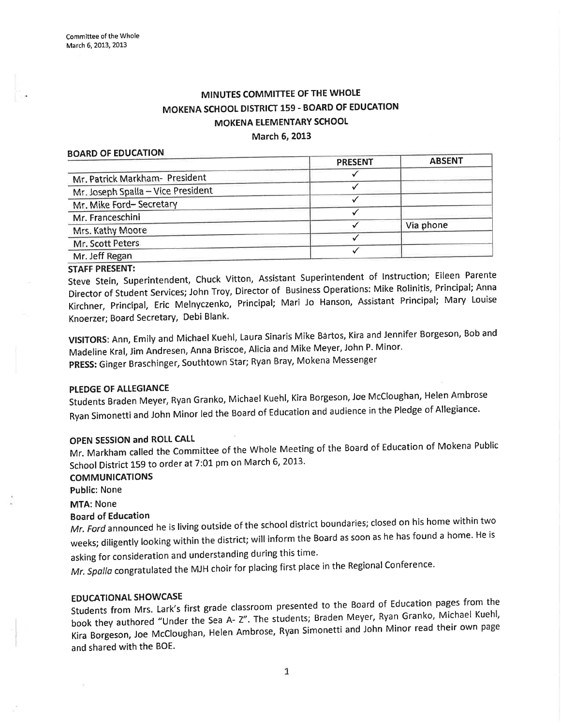# MINUTES COMMITTEE OF THE WHOLE MOKENA SCHOOL DISTRICT 159 - BOARD OF EDUCATION MOKENA ELEMENTARY SCHOOL March 6, 2013

#### BOARD OF EDUCATION

|                                    | <b>PRESENT</b> | <b>ABSENT</b> |
|------------------------------------|----------------|---------------|
| Mr. Patrick Markham- President     |                |               |
| Mr. Joseph Spalla - Vice President |                |               |
| Mr. Mike Ford-Secretary            |                |               |
| Mr. Franceschini                   |                |               |
| Mrs. Kathy Moore                   |                | Via phone     |
| Mr. Scott Peters                   |                |               |
| Mr. Jeff Regan                     |                |               |

#### STAFF PRESENT:

steve stein, superintendent, chuck Vitton, Assistant superintendent of lnstruction; Eileen Parente Director of student services; John Troy, Director of Business operations: Mike Rolinitis, Principal; Anna Kirchner, Principal, Eric Melnyczenko, Principal; Mari Jo Hanson, Assistant Principal; Mary Louise Knoerzer; Board Secretary, Debi Blank'

vlslToRS: Ann, Emily and Michael Kuehl, Laura sinaris Mike Bártos, Kira and Jennifer Borgeson, Bob and Madeline Kral, Jim Andresen, Anna Briscoe, Alicia and Mike Meyer, John P. Minor. PRESS: Ginger Braschinger, Southtown Star; Ryan Bray, Mokena Messenger

# PLEDGE OF ALLEGIANCE

students Braden Meyer, Ryan Granko, Michael Kuehl, Kira Borgeson, Jøe Mccloughan, Helen Ambrose Ryan Simonetti and John Minor led the Board of Education and audience in the Pledge of Allegiance.

#### OPEN SESSION and ROLL CALL

Mr. Markham called the Committee of the Whole Meeting of the Board of Education of Mokena Public School District 159 to order at 7:01 pm on March 6, 2013.

# COMMUNICATIONS

Public: None

MTA: None

#### Board of Education

Mr. Ford announced he is living outside of the school district boundaries; closed on his home within two weeks; diligently looking within the district; will inform the Board as soon as he has found a home. He is asking for consideration and understanding during this time.

Mr. Spalla congratulated the MJH choir for placing first place in the Regional Conference.

#### EDUCATIONAL SHOWCASE

Students from Mrs. Lark's first grade classroom presented to the Board of Education pages from the book they authored "Under the Sea A- Z". The students; Braden Meyer, Ryan Granko, Michael Kuehl, Kira Borgeson, Joe McCloughan, Helen Ambrose, Ryan Simonetti and John Minor read their own page and shared with the BOE.

 $\mathbf{1}$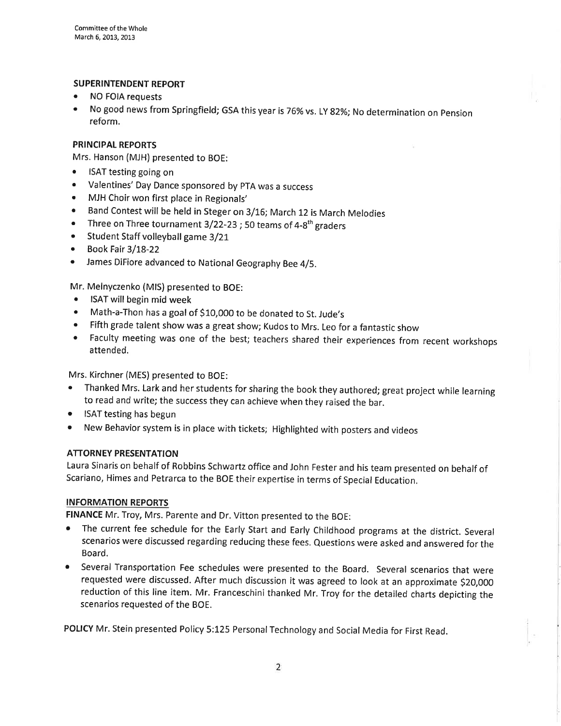# SUPERINTENDENT REPORT

- NO FOIA requests
- No good news from Springfield; GSA this year is 76% vs. LY 82%; No determination on Pension reform.

#### PRINCIPAL REPORTS

Mrs. Hanson (MJH) presented to BOE:

- ISAT testing going on
- o Valentines' Day Dance sponsored by pTA was a success
- MJH Choir won first place in Regionals'
- Band Contest will be held in Steger on 3/16; March 12 is March Melodies
- Three on Three tournament  $3/22-23$ ; 50 teams of  $4-8<sup>th</sup>$  graders
- Student Staff volleyball game 3/21
- $\bullet$  Book Fair 3/18-22
- ¡ James DiFiore advanced to National Geography Bee 4/5.

Mr. Melnyczenko (MlS) presented to BOE:

- o ISAT will begin mid week
- Math-a-Thon has a goal of \$10,000 to be donated to St. Jude's
- ' Fifth grade talent show was a great show; Kudos to Mrs. Leo for a fantastic show
- Faculty meeting was one of the best; teachers shared their experiences from recent workshops attended.

Mrs. Kirchner (MES) presented to BOE:

- Thanked Mrs. Lark and her students for sharing the book they authored; great project while learning to read and write; the success they can achieve when they raised the bar.
- ISAT testing has begun
- ¡ New Behavior system is in place with tickets; Highlighted with posters and videos

#### ATTORNEY PRESENTATION

Laura Sinaris on behalf of Robbins Schwartz office and John Fester and his team presented on behalf of Scariano, Himes and Petrarca to the BOE their expertise in terms of Special Education.

#### INFORMATION REPORTS

FINANCE Mr. Troy, Mrs. Parente and Dr. Vitton presented to the BOE:

- The current fee schedule for the Early Start and Early Childhood programs at the district. Several scenarios were discussed regarding reducing these fees. Questions were asked and answered for the Board.
- ¡ Several Transportation Fee schedules were presented to the Board. Several scenarios that were requested were discussed. After much discussion it was agreed to look at an approximate S20,OO0 reduction of this line item. Mr. Franceschini thanked Mr. Troy for the detailed charts depicting the scenarios requested of the BOE.

POLICY Mr. Stein presented Policy 5:125 Personal Technology and Social Media for First Read.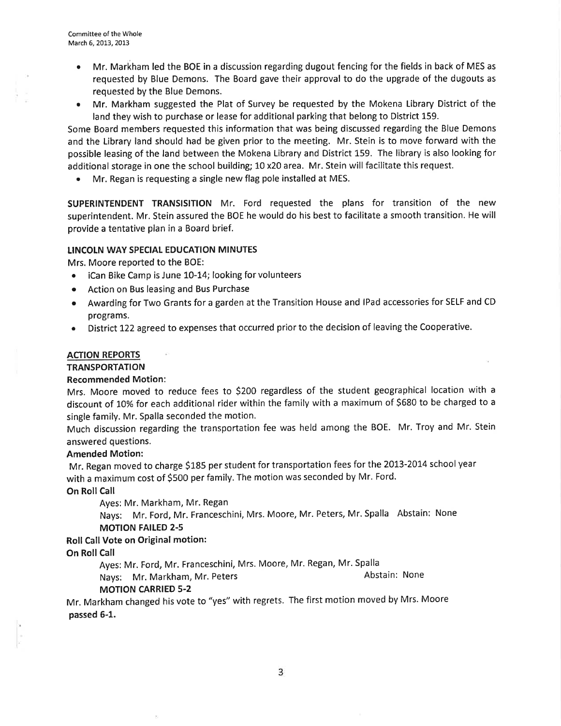- . Mr. Markham led the BOE in a discussion regarding dugout fencing for the fields in back of MES as requested by Blue Þemons. The Board gave their approval to do the upgrade of the dugouts as requested by the Blue Demons.
- ¡ Mr. Markham suggested the Plat of Survey be requested by the Mokena Library District of the land they wish to purchase or lease for additional parking that belong to District 159.

Some Board members requested this information that was being discussed regarding the Blue Demons and the Library land should had be given prior to the meeting. Mr. Stein is to move forward with the possible leasing of the land between the Mokena Library and District 159. The library is also looking for additional storage in one the school building; 10 x20 area. Mr. Stein will facilitate this request.

o Mr. Regan is requesting a single new flag pole installed at MES.

SUPERINTENDENT TRANSISITION Mr. Ford requested the plans for transition of the new superintendent. Mr. Stein assured the BOE he would do his best to facilitate a smooth transition. He will provide a tentative plan in a Board brief.

#### LINCOLN WAY SPECIAL EDUCATION MINUTES

Mrs. Moore reported to the BOE:

- o iCan Bike Camp is June LO-14; looking for volunteers
- Action on Bus leasing and Bus Purchase
- Awarding for Two Grants for a garden at the Transition House and IPad accessories for SELF and CD programs.
- District 122 agreed to expenses that occurred prior to the decision of leaving the Cooperative.

#### **ACTION REPORTS**

#### **TRANSPORTATION**

#### Recommended Motion:

Mrs. Moore moved to reduce fees to 52OO regardless of the student geographical location with <sup>a</sup> discount of 7O% for each additional rider within the family wíth a maximum of 5680 to be charged to <sup>a</sup> single family. Mr. Spalla seconded the motion.

Much discussion regarding the transportation fee was held among the BOE. Mr. Troy and Mr. Stein answered questions.

#### Amended Motion:

Mr. Regan moved to charge \$185 per student for transportation fees for the 2013-2014 school year with a maximum cost of SSOO per family. The motion was seconded by Mr. Ford.

On Roll Call

Ayes: Mr. Markham, Mr. Regan

Nays: Mr. Ford, Mr. Franceschini, Mrs. Moore, Mr. Peters, Mr. Spalla Abstain: None MOTION FAILED 2-5

# Roll Call Vote on Original motion:

On Roll Call

Ayes: Mr. Ford, Mr. Franceschini, Mrs. Moore, Mr. Regan, Mr. Spalla

Nays: Mr. Markham, Mr. Peters Abstain: None

# MOTION CARRIED 5.2

Mr. Markham changed his vote to "yes" with regrets. The first motion moved by Mrs. Moore passed 6-1.